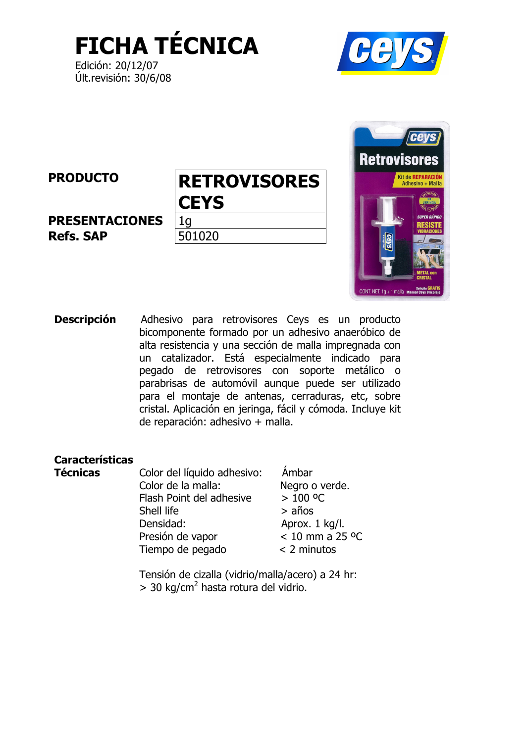**FICHA TÉCNICA** 

Edición: 20/12/07 Últ.revisión: 30/6/08





**Descripción** Adhesivo para retrovisores Ceys es un producto bicomponente formado por un adhesivo anaeróbico de alta resistencia y una sección de malla impregnada con un catalizador. Está especialmente indicado para pegado de retrovisores con soporte metálico o parabrisas de automóvil aunque puede ser utilizado para el montaje de antenas, cerraduras, etc, sobre cristal. Aplicación en jeringa, fácil y cómoda. Incluye kit de reparación: adhesivo + malla.

## **Características**

**Técnicas** 

Color del líquido adhesivo: Color de la malla: Flash Point del adhesive Shell life Densidad: Presión de vapor Tiempo de pegado

Ámbar Negro o verde.  $> 100 °C$  $> años$ Aprox. 1 kg/l.  $< 10 \text{ mm}$  a 25 °C  $<$  2 minutos

Tensión de cizalla (vidrio/malla/acero) a 24 hr:  $>$  30 kg/cm<sup>2</sup> hasta rotura del vidrio.